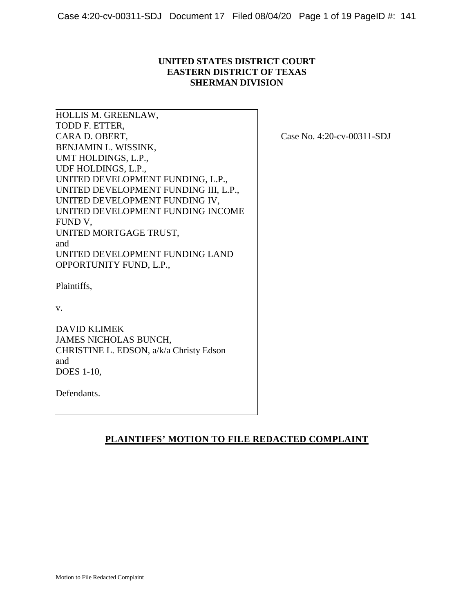# **UNITED STATES DISTRICT COURT EASTERN DISTRICT OF TEXAS SHERMAN DIVISION**

HOLLIS M. GREENLAW, TODD F. ETTER, CARA D. OBERT, BENJAMIN L. WISSINK, UMT HOLDINGS, L.P., UDF HOLDINGS, L.P., UNITED DEVELOPMENT FUNDING, L.P., UNITED DEVELOPMENT FUNDING III, L.P., UNITED DEVELOPMENT FUNDING IV, UNITED DEVELOPMENT FUNDING INCOME FUND V, UNITED MORTGAGE TRUST, and UNITED DEVELOPMENT FUNDING LAND OPPORTUNITY FUND, L.P.,

Case No. 4:20-cv-00311-SDJ

Plaintiffs,

v.

DAVID KLIMEK JAMES NICHOLAS BUNCH, CHRISTINE L. EDSON, a/k/a Christy Edson and DOES 1-10,

Defendants.

# **PLAINTIFFS' MOTION TO FILE REDACTED COMPLAINT**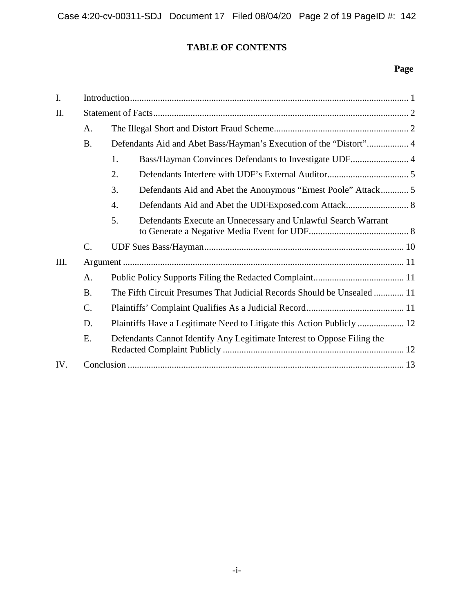# **TABLE OF CONTENTS**

# **Page**

| I.   |                 |                                                                         |  |
|------|-----------------|-------------------------------------------------------------------------|--|
| II.  |                 |                                                                         |  |
|      | A.              |                                                                         |  |
|      | <b>B.</b>       | Defendants Aid and Abet Bass/Hayman's Execution of the "Distort" 4      |  |
|      |                 | Bass/Hayman Convinces Defendants to Investigate UDF 4<br>1.             |  |
|      |                 | 2.                                                                      |  |
|      |                 | 3.                                                                      |  |
|      |                 | $\overline{4}$ .                                                        |  |
|      |                 | 5.<br>Defendants Execute an Unnecessary and Unlawful Search Warrant     |  |
|      | $\mathcal{C}$ . |                                                                         |  |
| III. |                 |                                                                         |  |
|      | A.              |                                                                         |  |
|      | <b>B.</b>       | The Fifth Circuit Presumes That Judicial Records Should be Unsealed  11 |  |
|      | C.              |                                                                         |  |
|      | D.              |                                                                         |  |
|      | E.              | Defendants Cannot Identify Any Legitimate Interest to Oppose Filing the |  |
| IV.  |                 |                                                                         |  |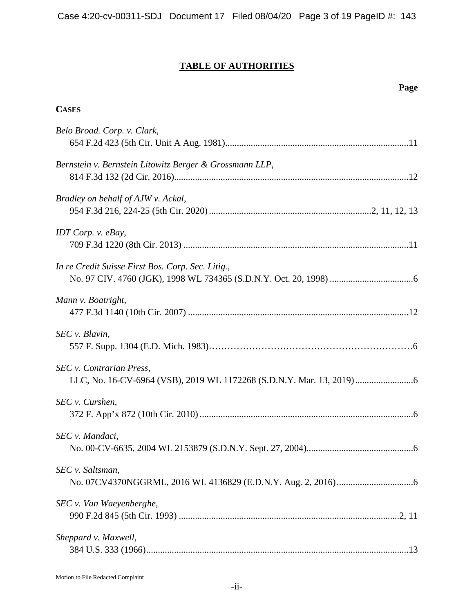# **TABLE OF AUTHORITIES**

| Page                                                    |
|---------------------------------------------------------|
| <b>CASES</b>                                            |
| Belo Broad. Corp. v. Clark,                             |
| Bernstein v. Bernstein Litowitz Berger & Grossmann LLP, |
| Bradley on behalf of AJW v. Ackal,                      |
| IDT Corp. v. eBay,                                      |
| In re Credit Suisse First Bos. Corp. Sec. Litig.,       |
| Mann v. Boatright,                                      |
| SEC v. Blavin,                                          |
| SEC v. Contrarian Press,                                |
| SEC v. Curshen,                                         |
| SEC v. Mandaci,                                         |
| SEC v. Saltsman,                                        |
| SEC v. Van Waeyenberghe,                                |
| Sheppard v. Maxwell,                                    |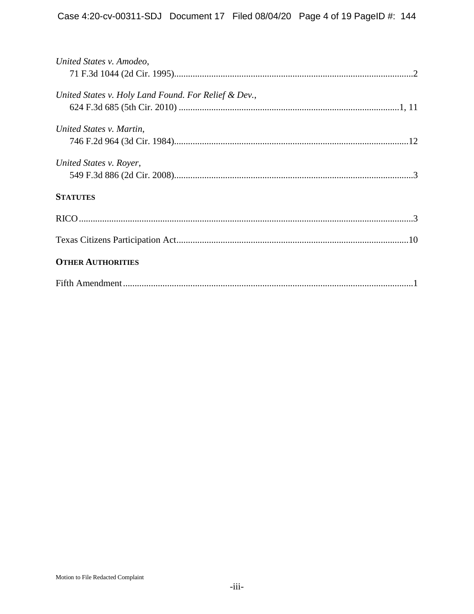| United States v. Amodeo,                             |
|------------------------------------------------------|
|                                                      |
|                                                      |
| United States v. Holy Land Found. For Relief & Dev., |
|                                                      |
| United States v. Martin,                             |
|                                                      |
|                                                      |
| United States v. Royer,                              |
|                                                      |
|                                                      |
| <b>STATUTES</b>                                      |
|                                                      |
|                                                      |
|                                                      |
|                                                      |
| <b>OTHER AUTHORITIES</b>                             |
|                                                      |
|                                                      |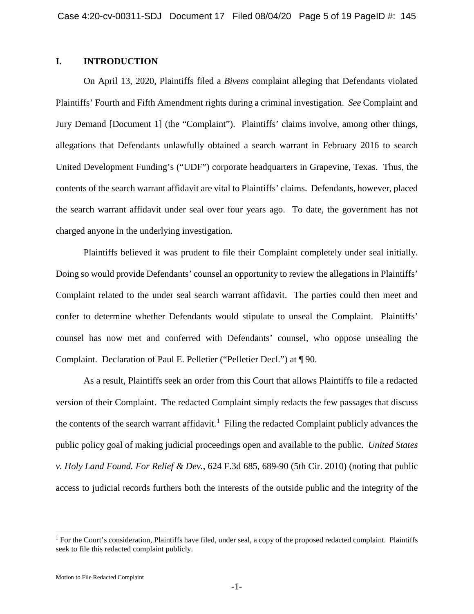# **I. INTRODUCTION**

<span id="page-4-1"></span>On April 13, 2020, Plaintiffs filed a *Bivens* complaint alleging that Defendants violated Plaintiffs' Fourth and Fifth Amendment rights during a criminal investigation. *See* Complaint and Jury Demand [Document 1] (the "Complaint"). Plaintiffs' claims involve, among other things, allegations that Defendants unlawfully obtained a search warrant in February 2016 to search United Development Funding's ("UDF") corporate headquarters in Grapevine, Texas. Thus, the contents of the search warrant affidavit are vital to Plaintiffs' claims. Defendants, however, placed the search warrant affidavit under seal over four years ago. To date, the government has not charged anyone in the underlying investigation.

Plaintiffs believed it was prudent to file their Complaint completely under seal initially. Doing so would provide Defendants' counsel an opportunity to review the allegations in Plaintiffs' Complaint related to the under seal search warrant affidavit. The parties could then meet and confer to determine whether Defendants would stipulate to unseal the Complaint. Plaintiffs' counsel has now met and conferred with Defendants' counsel, who oppose unsealing the Complaint. Declaration of Paul E. Pelletier ("Pelletier Decl.") at ¶ 90.

<span id="page-4-0"></span>As a result, Plaintiffs seek an order from this Court that allows Plaintiffs to file a redacted version of their Complaint. The redacted Complaint simply redacts the few passages that discuss the contents of the search warrant affidavit.<sup>[1](#page-4-2)</sup> Filing the redacted Complaint publicly advances the public policy goal of making judicial proceedings open and available to the public. *United States v. Holy Land Found. For Relief & Dev.*, 624 F.3d 685, 689-90 (5th Cir. 2010) (noting that public access to judicial records furthers both the interests of the outside public and the integrity of the

<span id="page-4-2"></span><sup>&</sup>lt;sup>1</sup> For the Court's consideration, Plaintiffs have filed, under seal, a copy of the proposed redacted complaint. Plaintiffs seek to file this redacted complaint publicly.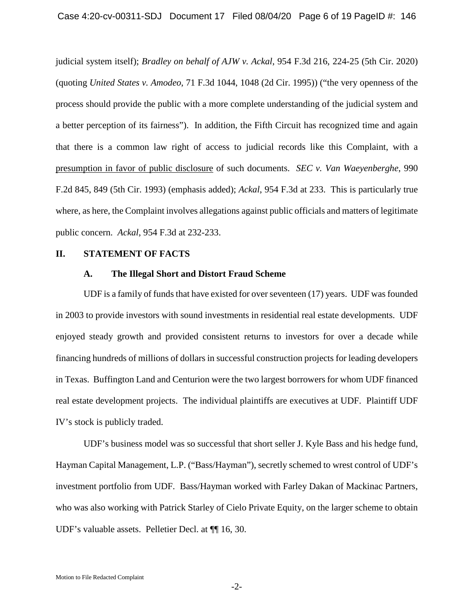<span id="page-5-2"></span><span id="page-5-0"></span>judicial system itself); *Bradley on behalf of AJW v. Ackal*, 954 F.3d 216, 224-25 (5th Cir. 2020) (quoting *United States v. Amodeo*, 71 F.3d 1044, 1048 (2d Cir. 1995)) ("the very openness of the process should provide the public with a more complete understanding of the judicial system and a better perception of its fairness"). In addition, the Fifth Circuit has recognized time and again that there is a common law right of access to judicial records like this Complaint, with a presumption in favor of public disclosure of such documents. *SEC v. Van Waeyenberghe*, 990 F.2d 845, 849 (5th Cir. 1993) (emphasis added); *Ackal*, 954 F.3d at 233. This is particularly true where, as here, the Complaint involves allegations against public officials and matters of legitimate public concern. *Ackal*, 954 F.3d at 232-233.

#### **II. STATEMENT OF FACTS**

#### <span id="page-5-1"></span>**A. The Illegal Short and Distort Fraud Scheme**

UDF is a family of funds that have existed for over seventeen (17) years. UDF was founded in 2003 to provide investors with sound investments in residential real estate developments. UDF enjoyed steady growth and provided consistent returns to investors for over a decade while financing hundreds of millions of dollars in successful construction projects for leading developers in Texas. Buffington Land and Centurion were the two largest borrowers for whom UDF financed real estate development projects. The individual plaintiffs are executives at UDF. Plaintiff UDF IV's stock is publicly traded.

UDF's business model was so successful that short seller J. Kyle Bass and his hedge fund, Hayman Capital Management, L.P. ("Bass/Hayman"), secretly schemed to wrest control of UDF's investment portfolio from UDF. Bass/Hayman worked with Farley Dakan of Mackinac Partners, who was also working with Patrick Starley of Cielo Private Equity, on the larger scheme to obtain UDF's valuable assets. Pelletier Decl. at ¶¶ 16, 30.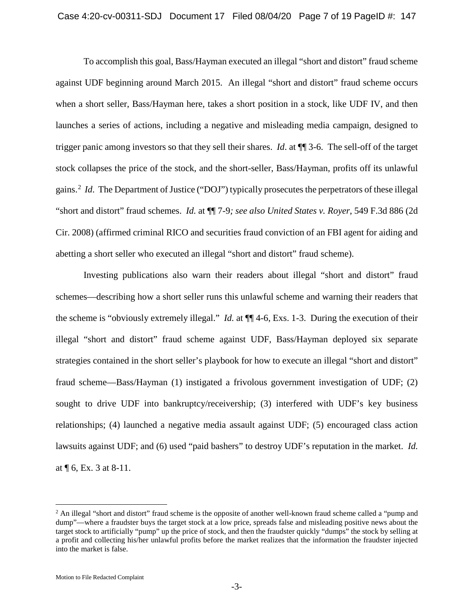To accomplish this goal, Bass/Hayman executed an illegal "short and distort" fraud scheme against UDF beginning around March 2015. An illegal "short and distort" fraud scheme occurs when a short seller, Bass/Hayman here, takes a short position in a stock, like UDF IV, and then launches a series of actions, including a negative and misleading media campaign, designed to trigger panic among investors so that they sell their shares. *Id*. at ¶¶ 3-6. The sell-off of the target stock collapses the price of the stock, and the short-seller, Bass/Hayman, profits off its unlawful gains.<sup>[2](#page-6-2)</sup> *Id*. The Department of Justice ("DOJ") typically prosecutes the perpetrators of these illegal "short and distort" fraud schemes. *Id.* at ¶¶ 7-9*; see also United States v. Royer*, 549 F.3d 886 (2d Cir. 2008) (affirmed criminal RICO and securities fraud conviction of an FBI agent for aiding and abetting a short seller who executed an illegal "short and distort" fraud scheme).

<span id="page-6-1"></span><span id="page-6-0"></span>Investing publications also warn their readers about illegal "short and distort" fraud schemes—describing how a short seller runs this unlawful scheme and warning their readers that the scheme is "obviously extremely illegal." *Id.* at ¶¶ 4-6, Exs. 1-3. During the execution of their illegal "short and distort" fraud scheme against UDF, Bass/Hayman deployed six separate strategies contained in the short seller's playbook for how to execute an illegal "short and distort" fraud scheme—Bass/Hayman (1) instigated a frivolous government investigation of UDF; (2) sought to drive UDF into bankruptcy/receivership; (3) interfered with UDF's key business relationships; (4) launched a negative media assault against UDF; (5) encouraged class action lawsuits against UDF; and (6) used "paid bashers" to destroy UDF's reputation in the market. *Id.*  at ¶ 6, Ex. 3 at 8-11.

<span id="page-6-2"></span><sup>&</sup>lt;sup>2</sup> An illegal "short and distort" fraud scheme is the opposite of another well-known fraud scheme called a "pump and dump"—where a fraudster buys the target stock at a low price, spreads false and misleading positive news about the target stock to artificially "pump" up the price of stock, and then the fraudster quickly "dumps" the stock by selling at a profit and collecting his/her unlawful profits before the market realizes that the information the fraudster injected into the market is false.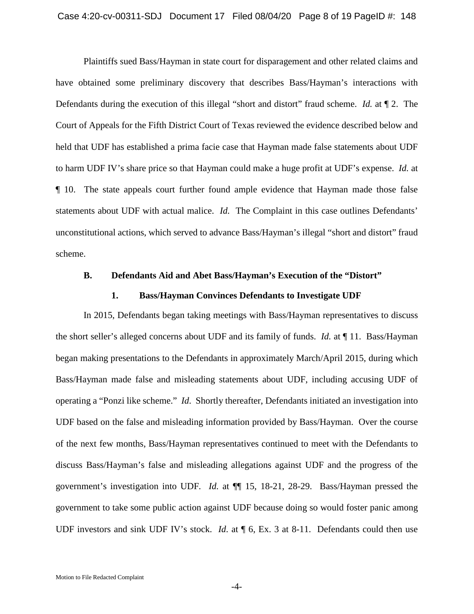Plaintiffs sued Bass/Hayman in state court for disparagement and other related claims and have obtained some preliminary discovery that describes Bass/Hayman's interactions with Defendants during the execution of this illegal "short and distort" fraud scheme. *Id.* at ¶ 2. The Court of Appeals for the Fifth District Court of Texas reviewed the evidence described below and held that UDF has established a prima facie case that Hayman made false statements about UDF to harm UDF IV's share price so that Hayman could make a huge profit at UDF's expense. *Id.* at ¶ 10. The state appeals court further found ample evidence that Hayman made those false statements about UDF with actual malice. *Id.* The Complaint in this case outlines Defendants' unconstitutional actions, which served to advance Bass/Hayman's illegal "short and distort" fraud scheme.

#### **B. Defendants Aid and Abet Bass/Hayman's Execution of the "Distort"**

#### **1. Bass/Hayman Convinces Defendants to Investigate UDF**

In 2015, Defendants began taking meetings with Bass/Hayman representatives to discuss the short seller's alleged concerns about UDF and its family of funds. *Id.* at ¶ 11. Bass/Hayman began making presentations to the Defendants in approximately March/April 2015, during which Bass/Hayman made false and misleading statements about UDF, including accusing UDF of operating a "Ponzi like scheme." *Id*. Shortly thereafter, Defendants initiated an investigation into UDF based on the false and misleading information provided by Bass/Hayman. Over the course of the next few months, Bass/Hayman representatives continued to meet with the Defendants to discuss Bass/Hayman's false and misleading allegations against UDF and the progress of the government's investigation into UDF*. Id.* at ¶¶ 15, 18-21, 28-29. Bass/Hayman pressed the government to take some public action against UDF because doing so would foster panic among UDF investors and sink UDF IV's stock. *Id*. at ¶ 6, Ex. 3 at 8-11. Defendants could then use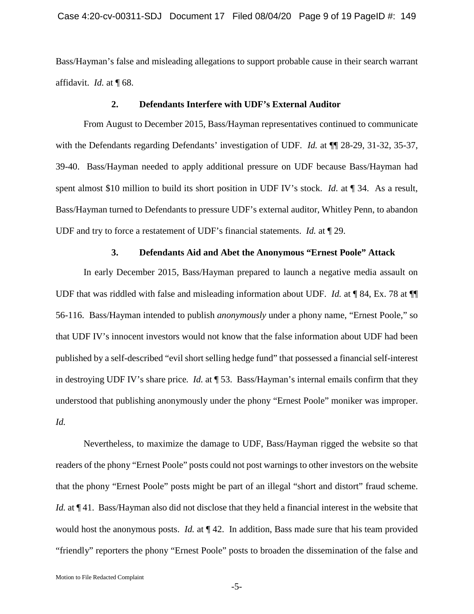Bass/Hayman's false and misleading allegations to support probable cause in their search warrant affidavit. *Id.* at ¶ 68.

#### **2. Defendants Interfere with UDF's External Auditor**

From August to December 2015, Bass/Hayman representatives continued to communicate with the Defendants regarding Defendants' investigation of UDF. *Id.* at  $\P$  28-29, 31-32, 35-37, 39-40. Bass/Hayman needed to apply additional pressure on UDF because Bass/Hayman had spent almost \$10 million to build its short position in UDF IV's stock. *Id.* at  $\P$  34. As a result, Bass/Hayman turned to Defendants to pressure UDF's external auditor, Whitley Penn, to abandon UDF and try to force a restatement of UDF's financial statements. *Id.* at ¶ 29.

#### **3. Defendants Aid and Abet the Anonymous "Ernest Poole" Attack**

In early December 2015, Bass/Hayman prepared to launch a negative media assault on UDF that was riddled with false and misleading information about UDF. *Id.* at ¶ 84, Ex. 78 at ¶¶ 56-116. Bass/Hayman intended to publish *anonymously* under a phony name, "Ernest Poole," so that UDF IV's innocent investors would not know that the false information about UDF had been published by a self-described "evil short selling hedge fund" that possessed a financial self-interest in destroying UDF IV's share price*. Id.* at ¶ 53. Bass/Hayman's internal emails confirm that they understood that publishing anonymously under the phony "Ernest Poole" moniker was improper. *Id.*

Nevertheless, to maximize the damage to UDF, Bass/Hayman rigged the website so that readers of the phony "Ernest Poole" posts could not post warnings to other investors on the website that the phony "Ernest Poole" posts might be part of an illegal "short and distort" fraud scheme. *Id.* at  $\P$  41. Bass/Hayman also did not disclose that they held a financial interest in the website that would host the anonymous posts. *Id.* at  $\P$  42. In addition, Bass made sure that his team provided "friendly" reporters the phony "Ernest Poole" posts to broaden the dissemination of the false and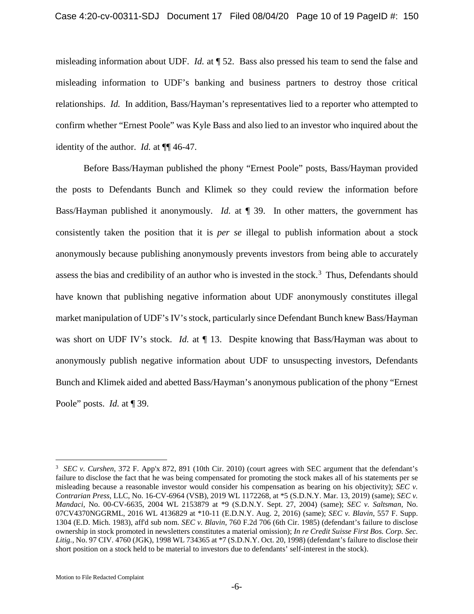misleading information about UDF. *Id.* at ¶ 52. Bass also pressed his team to send the false and misleading information to UDF's banking and business partners to destroy those critical relationships. *Id.* In addition, Bass/Hayman's representatives lied to a reporter who attempted to confirm whether "Ernest Poole" was Kyle Bass and also lied to an investor who inquired about the identity of the author. *Id.* at ¶¶ 46-47.

Before Bass/Hayman published the phony "Ernest Poole" posts, Bass/Hayman provided the posts to Defendants Bunch and Klimek so they could review the information before Bass/Hayman published it anonymously. *Id.* at ¶ 39. In other matters, the government has consistently taken the position that it is *per se* illegal to publish information about a stock anonymously because publishing anonymously prevents investors from being able to accurately assess the bias and credibility of an author who is invested in the stock.<sup>[3](#page-9-5)</sup> Thus, Defendants should have known that publishing negative information about UDF anonymously constitutes illegal market manipulation of UDF's IV's stock, particularly since Defendant Bunch knew Bass/Hayman was short on UDF IV's stock. *Id.* at  $\P$  13. Despite knowing that Bass/Hayman was about to anonymously publish negative information about UDF to unsuspecting investors, Defendants Bunch and Klimek aided and abetted Bass/Hayman's anonymous publication of the phony "Ernest Poole" posts. *Id.* at ¶ 39.

<span id="page-9-5"></span><span id="page-9-4"></span><span id="page-9-3"></span><span id="page-9-2"></span><span id="page-9-1"></span><span id="page-9-0"></span><sup>&</sup>lt;sup>-</sup><br>3 <sup>3</sup> SEC v. Curshen, 372 F. App'x 872, 891 (10th Cir. 2010) (court agrees with SEC argument that the defendant's failure to disclose the fact that he was being compensated for promoting the stock makes all of his statements per se misleading because a reasonable investor would consider his compensation as bearing on his objectivity); *SEC v. Contrarian Press*, LLC, No. 16-CV-6964 (VSB), 2019 WL 1172268, at \*5 (S.D.N.Y. Mar. 13, 2019) (same); *SEC v. Mandaci*, No. 00-CV-6635, 2004 WL 2153879 at \*9 (S.D.N.Y. Sept. 27, 2004) (same); *SEC v. Saltsman*, No. 07CV4370NGGRML, 2016 WL 4136829 at \*10-11 (E.D.N.Y. Aug. 2, 2016) (same); *SEC v. Blavin*, 557 F. Supp. 1304 (E.D. Mich. 1983), aff'd sub nom. *SEC v. Blavin*, 760 F.2d 706 (6th Cir. 1985) (defendant's failure to disclose ownership in stock promoted in newsletters constitutes a material omission); *In re Credit Suisse First Bos. Corp. Sec. Litig.*, No. 97 CIV. 4760 (JGK), 1998 WL 734365 at \*7 (S.D.N.Y. Oct. 20, 1998) (defendant's failure to disclose their short position on a stock held to be material to investors due to defendants' self-interest in the stock).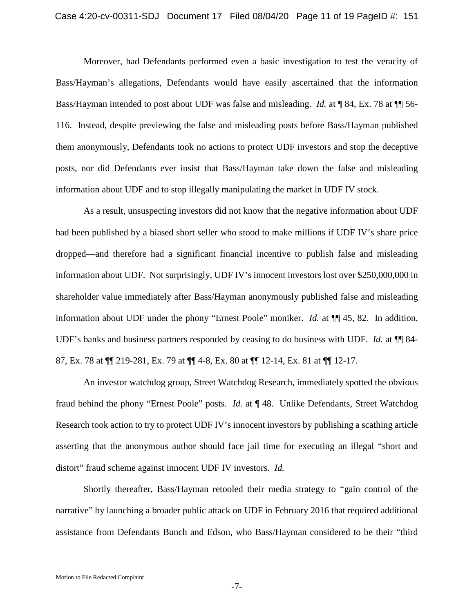Moreover, had Defendants performed even a basic investigation to test the veracity of Bass/Hayman's allegations, Defendants would have easily ascertained that the information Bass/Hayman intended to post about UDF was false and misleading. *Id.* at ¶ 84, Ex. 78 at ¶¶ 56- 116. Instead, despite previewing the false and misleading posts before Bass/Hayman published them anonymously, Defendants took no actions to protect UDF investors and stop the deceptive posts, nor did Defendants ever insist that Bass/Hayman take down the false and misleading information about UDF and to stop illegally manipulating the market in UDF IV stock.

As a result, unsuspecting investors did not know that the negative information about UDF had been published by a biased short seller who stood to make millions if UDF IV's share price dropped—and therefore had a significant financial incentive to publish false and misleading information about UDF. Not surprisingly, UDF IV's innocent investors lost over \$250,000,000 in shareholder value immediately after Bass/Hayman anonymously published false and misleading information about UDF under the phony "Ernest Poole" moniker. *Id.* at ¶¶ 45, 82. In addition, UDF's banks and business partners responded by ceasing to do business with UDF. *Id.* at ¶¶ 84- 87, Ex. 78 at ¶¶ 219-281, Ex. 79 at ¶¶ 4-8, Ex. 80 at ¶¶ 12-14, Ex. 81 at ¶¶ 12-17.

An investor watchdog group, Street Watchdog Research, immediately spotted the obvious fraud behind the phony "Ernest Poole" posts. *Id.* at ¶ 48. Unlike Defendants, Street Watchdog Research took action to try to protect UDF IV's innocent investors by publishing a scathing article asserting that the anonymous author should face jail time for executing an illegal "short and distort" fraud scheme against innocent UDF IV investors. *Id.* 

Shortly thereafter, Bass/Hayman retooled their media strategy to "gain control of the narrative" by launching a broader public attack on UDF in February 2016 that required additional assistance from Defendants Bunch and Edson, who Bass/Hayman considered to be their "third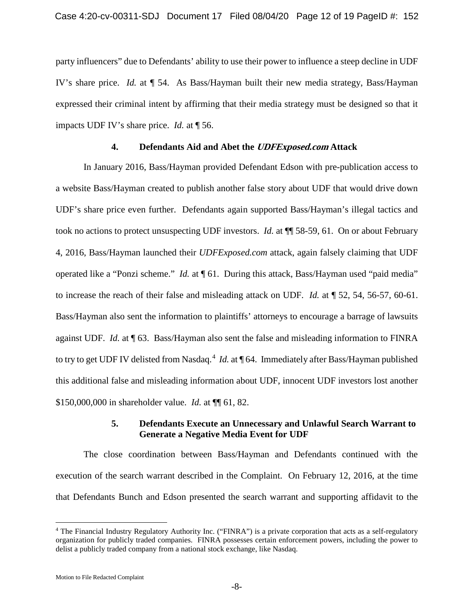party influencers" due to Defendants' ability to use their power to influence a steep decline in UDF IV's share price. *Id.* at ¶ 54. As Bass/Hayman built their new media strategy, Bass/Hayman expressed their criminal intent by affirming that their media strategy must be designed so that it impacts UDF IV's share price. *Id.* at ¶ 56.

#### **4. Defendants Aid and Abet the UDFExposed.com Attack**

In January 2016, Bass/Hayman provided Defendant Edson with pre-publication access to a website Bass/Hayman created to publish another false story about UDF that would drive down UDF's share price even further. Defendants again supported Bass/Hayman's illegal tactics and took no actions to protect unsuspecting UDF investors. *Id.* at ¶¶ 58-59, 61. On or about February 4, 2016, Bass/Hayman launched their *UDFExposed.com* attack, again falsely claiming that UDF operated like a "Ponzi scheme." *Id.* at ¶ 61. During this attack, Bass/Hayman used "paid media" to increase the reach of their false and misleading attack on UDF. *Id.* at ¶ 52, 54, 56-57, 60-61. Bass/Hayman also sent the information to plaintiffs' attorneys to encourage a barrage of lawsuits against UDF. *Id.* at ¶ 63. Bass/Hayman also sent the false and misleading information to FINRA to try to get UDF IV delisted from Nasdaq.<sup>[4](#page-11-0)</sup> *Id.* at ¶ 64. Immediately after Bass/Hayman published this additional false and misleading information about UDF, innocent UDF investors lost another \$150,000,000 in shareholder value. *Id.* at ¶¶ 61, 82.

### **5. Defendants Execute an Unnecessary and Unlawful Search Warrant to Generate a Negative Media Event for UDF**

The close coordination between Bass/Hayman and Defendants continued with the execution of the search warrant described in the Complaint. On February 12, 2016, at the time that Defendants Bunch and Edson presented the search warrant and supporting affidavit to the

Motion to File Redacted Complaint

<span id="page-11-0"></span> <sup>4</sup> The Financial Industry Regulatory Authority Inc. ("FINRA") is a private corporation that acts as a self-regulatory organization for publicly traded companies. FINRA possesses certain enforcement powers, including the power to delist a publicly traded company from a national stock exchange, like Nasdaq.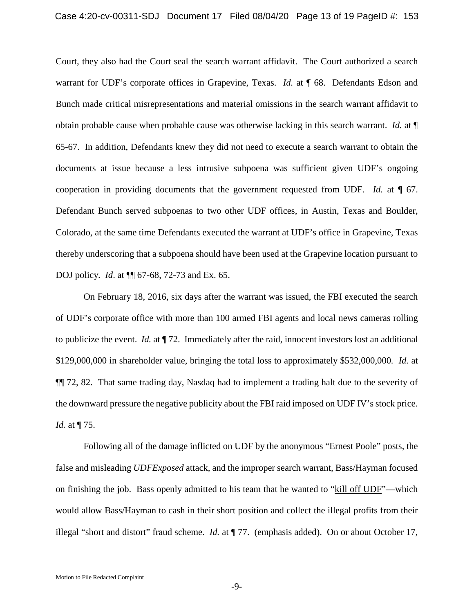Court, they also had the Court seal the search warrant affidavit. The Court authorized a search warrant for UDF's corporate offices in Grapevine, Texas. *Id.* at ¶ 68. Defendants Edson and Bunch made critical misrepresentations and material omissions in the search warrant affidavit to obtain probable cause when probable cause was otherwise lacking in this search warrant. *Id.* at ¶ 65-67. In addition, Defendants knew they did not need to execute a search warrant to obtain the documents at issue because a less intrusive subpoena was sufficient given UDF's ongoing cooperation in providing documents that the government requested from UDF. *Id.* at ¶ 67. Defendant Bunch served subpoenas to two other UDF offices, in Austin, Texas and Boulder, Colorado, at the same time Defendants executed the warrant at UDF's office in Grapevine, Texas thereby underscoring that a subpoena should have been used at the Grapevine location pursuant to DOJ policy. *Id*. at ¶¶ 67-68, 72-73 and Ex. 65.

On February 18, 2016, six days after the warrant was issued, the FBI executed the search of UDF's corporate office with more than 100 armed FBI agents and local news cameras rolling to publicize the event. *Id.* at ¶ 72. Immediately after the raid, innocent investors lost an additional \$129,000,000 in shareholder value, bringing the total loss to approximately \$532,000,000*. Id.* at ¶¶ 72, 82. That same trading day, Nasdaq had to implement a trading halt due to the severity of the downward pressure the negative publicity about the FBI raid imposed on UDF IV's stock price. *Id.* at ¶ 75.

Following all of the damage inflicted on UDF by the anonymous "Ernest Poole" posts, the false and misleading *UDFExposed* attack, and the improper search warrant, Bass/Hayman focused on finishing the job. Bass openly admitted to his team that he wanted to "kill off UDF"—which would allow Bass/Hayman to cash in their short position and collect the illegal profits from their illegal "short and distort" fraud scheme. *Id.* at ¶ 77. (emphasis added). On or about October 17,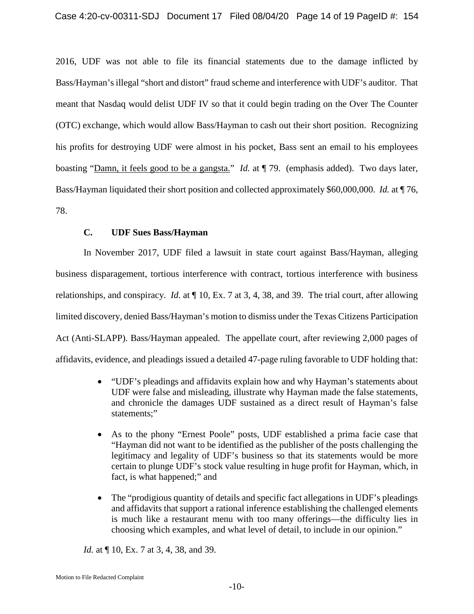2016, UDF was not able to file its financial statements due to the damage inflicted by Bass/Hayman's illegal "short and distort" fraud scheme and interference with UDF's auditor. That meant that Nasdaq would delist UDF IV so that it could begin trading on the Over The Counter (OTC) exchange, which would allow Bass/Hayman to cash out their short position. Recognizing his profits for destroying UDF were almost in his pocket, Bass sent an email to his employees boasting "Damn, it feels good to be a gangsta." *Id.* at ¶ 79. (emphasis added). Two days later, Bass/Hayman liquidated their short position and collected approximately \$60,000,000. *Id.* at ¶ 76, 78.

# **C. UDF Sues Bass/Hayman**

In November 2017, UDF filed a lawsuit in state court against Bass/Hayman, alleging business disparagement, tortious interference with contract, tortious interference with business relationships, and conspiracy. *Id.* at ¶ 10, Ex. 7 at 3, 4, 38, and 39. The trial court, after allowing limited discovery, denied Bass/Hayman's motion to dismiss under the Texas Citizens Participation Act (Anti-SLAPP). Bass/Hayman appealed. The appellate court, after reviewing 2,000 pages of affidavits, evidence, and pleadings issued a detailed 47-page ruling favorable to UDF holding that:

- <span id="page-13-0"></span>• "UDF's pleadings and affidavits explain how and why Hayman's statements about UDF were false and misleading, illustrate why Hayman made the false statements, and chronicle the damages UDF sustained as a direct result of Hayman's false statements;"
- As to the phony "Ernest Poole" posts, UDF established a prima facie case that "Hayman did not want to be identified as the publisher of the posts challenging the legitimacy and legality of UDF's business so that its statements would be more certain to plunge UDF's stock value resulting in huge profit for Hayman, which, in fact, is what happened;" and
- The "prodigious quantity of details and specific fact allegations in UDF's pleadings and affidavits that support a rational inference establishing the challenged elements is much like a restaurant menu with too many offerings—the difficulty lies in choosing which examples, and what level of detail, to include in our opinion."

*Id.* at  $\P$  10, Ex. 7 at 3, 4, 38, and 39.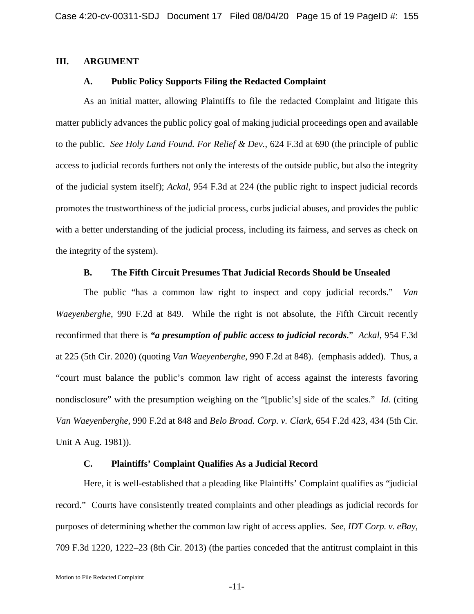#### **III. ARGUMENT**

#### <span id="page-14-4"></span>**A. Public Policy Supports Filing the Redacted Complaint**

As an initial matter, allowing Plaintiffs to file the redacted Complaint and litigate this matter publicly advances the public policy goal of making judicial proceedings open and available to the public. *See Holy Land Found. For Relief & Dev.*, 624 F.3d at 690 (the principle of public access to judicial records furthers not only the interests of the outside public, but also the integrity of the judicial system itself); *Ackal*, 954 F.3d at 224 (the public right to inspect judicial records promotes the trustworthiness of the judicial process, curbs judicial abuses, and provides the public with a better understanding of the judicial process, including its fairness, and serves as check on the integrity of the system).

#### <span id="page-14-3"></span><span id="page-14-1"></span>**B. The Fifth Circuit Presumes That Judicial Records Should be Unsealed**

The public "has a common law right to inspect and copy judicial records." *Van Waeyenberghe*, 990 F.2d at 849. While the right is not absolute, the Fifth Circuit recently reconfirmed that there is *"a presumption of public access to judicial records*." *Ackal*, 954 F.3d at 225 (5th Cir. 2020) (quoting *Van Waeyenberghe*, 990 F.2d at 848). (emphasis added). Thus, a "court must balance the public's common law right of access against the interests favoring nondisclosure" with the presumption weighing on the "[public's] side of the scales." *Id*. (citing *Van Waeyenberghe*, 990 F.2d at 848 and *Belo Broad. Corp. v. Clark*, 654 F.2d 423, 434 (5th Cir. Unit A Aug. 1981)).

#### <span id="page-14-2"></span><span id="page-14-0"></span>**C. Plaintiffs' Complaint Qualifies As a Judicial Record**

Here, it is well-established that a pleading like Plaintiffs' Complaint qualifies as "judicial record." Courts have consistently treated complaints and other pleadings as judicial records for purposes of determining whether the common law right of access applies. *See, IDT Corp. v. eBay*, 709 F.3d 1220, 1222–23 (8th Cir. 2013) (the parties conceded that the antitrust complaint in this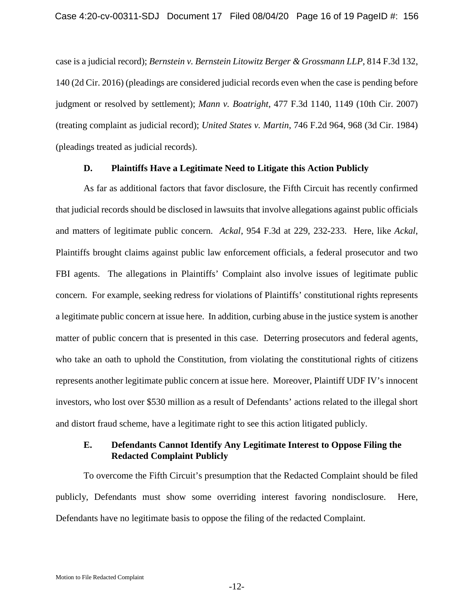<span id="page-15-0"></span>case is a judicial record); *Bernstein v. Bernstein Litowitz Berger & Grossmann LLP*, 814 F.3d 132, 140 (2d Cir. 2016) (pleadings are considered judicial records even when the case is pending before judgment or resolved by settlement); *Mann v. Boatright*, 477 F.3d 1140, 1149 (10th Cir. 2007) (treating complaint as judicial record); *United States v. Martin*, 746 F.2d 964, 968 (3d Cir. 1984) (pleadings treated as judicial records).

### <span id="page-15-3"></span><span id="page-15-2"></span><span id="page-15-1"></span>**D. Plaintiffs Have a Legitimate Need to Litigate this Action Publicly**

As far as additional factors that favor disclosure, the Fifth Circuit has recently confirmed that judicial records should be disclosed in lawsuits that involve allegations against public officials and matters of legitimate public concern. *Ackal*, 954 F.3d at 229, 232-233. Here, like *Ackal*, Plaintiffs brought claims against public law enforcement officials, a federal prosecutor and two FBI agents. The allegations in Plaintiffs' Complaint also involve issues of legitimate public concern. For example, seeking redress for violations of Plaintiffs' constitutional rights represents a legitimate public concern at issue here. In addition, curbing abuse in the justice system is another matter of public concern that is presented in this case. Deterring prosecutors and federal agents, who take an oath to uphold the Constitution, from violating the constitutional rights of citizens represents another legitimate public concern at issue here. Moreover, Plaintiff UDF IV's innocent investors, who lost over \$530 million as a result of Defendants' actions related to the illegal short and distort fraud scheme, have a legitimate right to see this action litigated publicly.

### **E. Defendants Cannot Identify Any Legitimate Interest to Oppose Filing the Redacted Complaint Publicly**

To overcome the Fifth Circuit's presumption that the Redacted Complaint should be filed publicly, Defendants must show some overriding interest favoring nondisclosure. Here, Defendants have no legitimate basis to oppose the filing of the redacted Complaint.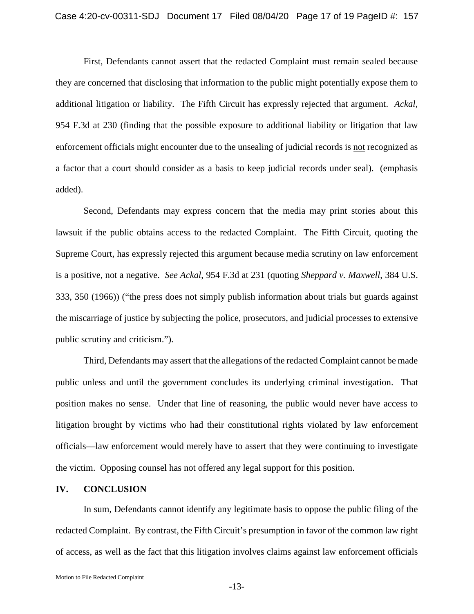<span id="page-16-0"></span>First, Defendants cannot assert that the redacted Complaint must remain sealed because they are concerned that disclosing that information to the public might potentially expose them to additional litigation or liability. The Fifth Circuit has expressly rejected that argument. *Ackal,* 954 F.3d at 230 (finding that the possible exposure to additional liability or litigation that law enforcement officials might encounter due to the unsealing of judicial records is not recognized as a factor that a court should consider as a basis to keep judicial records under seal). (emphasis added).

<span id="page-16-1"></span>Second, Defendants may express concern that the media may print stories about this lawsuit if the public obtains access to the redacted Complaint. The Fifth Circuit, quoting the Supreme Court, has expressly rejected this argument because media scrutiny on law enforcement is a positive, not a negative. *See Ackal*, 954 F.3d at 231 (quoting *Sheppard v. Maxwell*, 384 U.S. 333, 350 (1966)) ("the press does not simply publish information about trials but guards against the miscarriage of justice by subjecting the police, prosecutors, and judicial processes to extensive public scrutiny and criticism.").

Third, Defendants may assert that the allegations of the redacted Complaint cannot be made public unless and until the government concludes its underlying criminal investigation. That position makes no sense. Under that line of reasoning, the public would never have access to litigation brought by victims who had their constitutional rights violated by law enforcement officials—law enforcement would merely have to assert that they were continuing to investigate the victim. Opposing counsel has not offered any legal support for this position.

#### **IV. CONCLUSION**

In sum, Defendants cannot identify any legitimate basis to oppose the public filing of the redacted Complaint. By contrast, the Fifth Circuit's presumption in favor of the common law right of access, as well as the fact that this litigation involves claims against law enforcement officials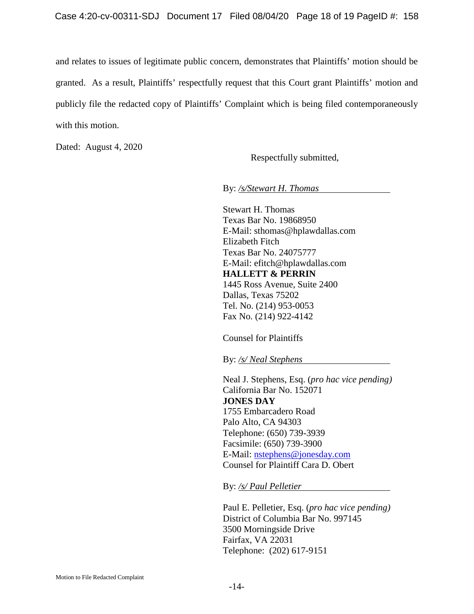and relates to issues of legitimate public concern, demonstrates that Plaintiffs' motion should be granted. As a result, Plaintiffs' respectfully request that this Court grant Plaintiffs' motion and publicly file the redacted copy of Plaintiffs' Complaint which is being filed contemporaneously with this motion.

Dated: August 4, 2020

Respectfully submitted,

By: */s/Stewart H. Thomas* 

Stewart H. Thomas Texas Bar No. 19868950 E-Mail: sthomas@hplawdallas.com Elizabeth Fitch Texas Bar No. 24075777 E-Mail: efitch@hplawdallas.com **HALLETT & PERRIN** 1445 Ross Avenue, Suite 2400 Dallas, Texas 75202 Tel. No. (214) 953-0053 Fax No. (214) 922-4142

Counsel for Plaintiffs

By: */s/ Neal Stephens* 

Neal J. Stephens, Esq. (*pro hac vice pending)*  California Bar No. 152071 **JONES DAY** 1755 Embarcadero Road Palo Alto, CA 94303 Telephone: (650) 739-3939 Facsimile: (650) 739-3900 E-Mail: [nstephens@jonesday.com](mailto:nstephens@jonesday.com) Counsel for Plaintiff Cara D. Obert

By: */s/ Paul Pelletier*

Paul E. Pelletier, Esq. (*pro hac vice pending)* District of Columbia Bar No. 997145 3500 Morningside Drive Fairfax, VA 22031 Telephone: (202) 617-9151